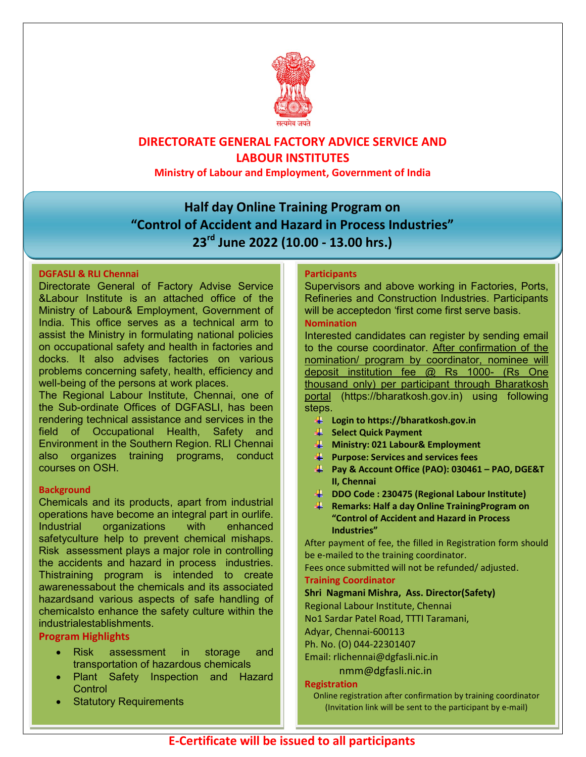

## DIRECTORATE GENERAL FACTORY ADVICE SERVICE AND LABOUR INSTITUTES

Ministry of Labour and Employment, Government of India

# Half day Online Training Program on "Control of Accident and Hazard in Process Industries" 23<sup>rd</sup> June 2022 (10.00 - 13.00 hrs.)

#### DGFASLI & RLI Chennai

Directorate General of Factory Advise Service &Labour Institute is an attached office of the Ministry of Labour& Employment, Government of India. This office serves as a technical arm to assist the Ministry in formulating national policies on occupational safety and health in factories and docks. It also advises factories on various problems concerning safety, health, efficiency and well-being of the persons at work places.

The Regional Labour Institute, Chennai, one of the Sub-ordinate Offices of DGFASLI, has been rendering technical assistance and services in the field of Occupational Health, Safety and Environment in the Southern Region. RLI Chennai also organizes training programs, conduct courses on OSH.

#### **Background**

Chemicals and its products, apart from industrial operations have become an integral part in ourlife. Industrial organizations with enhanced safetyculture help to prevent chemical mishaps. Risk assessment plays a major role in controlling the accidents and hazard in process industries. Thistraining program is intended to create awarenessabout the chemicals and its associated hazardsand various aspects of safe handling of chemicalsto enhance the safety culture within the industrialestablishments.

### Program Highlights

- Risk assessment in storage and transportation of hazardous chemicals
- Plant Safety Inspection and Hazard **Control**
- Statutory Requirements

#### **Participants**

Supervisors and above working in Factories, Ports, Refineries and Construction Industries. Participants will be acceptedon 'first come first serve basis.

#### Nomination

Interested candidates can register by sending email to the course coordinator. After confirmation of the nomination/ program by coordinator, nominee will deposit institution fee @ Rs 1000- (Rs One thousand only) per participant through Bharatkosh portal (https://bharatkosh.gov.in) using following steps.

- Login to https://bharatkosh.gov.in
- Select Quick Payment
- $\downarrow$  Ministry: 021 Labour& Employment
- $\overline{\mathbf{P}}$  Purpose: Services and services fees
- Pay & Account Office (PAO): 030461 PAO, DGE&T II, Chennai
- DDO Code : 230475 (Regional Labour Institute)
- **Remarks: Half a day Online Training Program on** "Control of Accident and Hazard in Process Industries"

After payment of fee, the filled in Registration form should be e-mailed to the training coordinator.

Fees once submitted will not be refunded/ adjusted.

#### Training Coordinator

#### Shri Nagmani Mishra, Ass. Director(Safety)

Regional Labour Institute, Chennai

No1 Sardar Patel Road, TTTI Taramani,

Adyar, Chennai-600113

Ph. No. (O) 044-22301407

Email: rlichennai@dgfasli.nic.in

nmm@dgfasli.nic.in

#### Registration

Online registration after confirmation by training coordinator (Invitation link will be sent to the participant by e-mail)